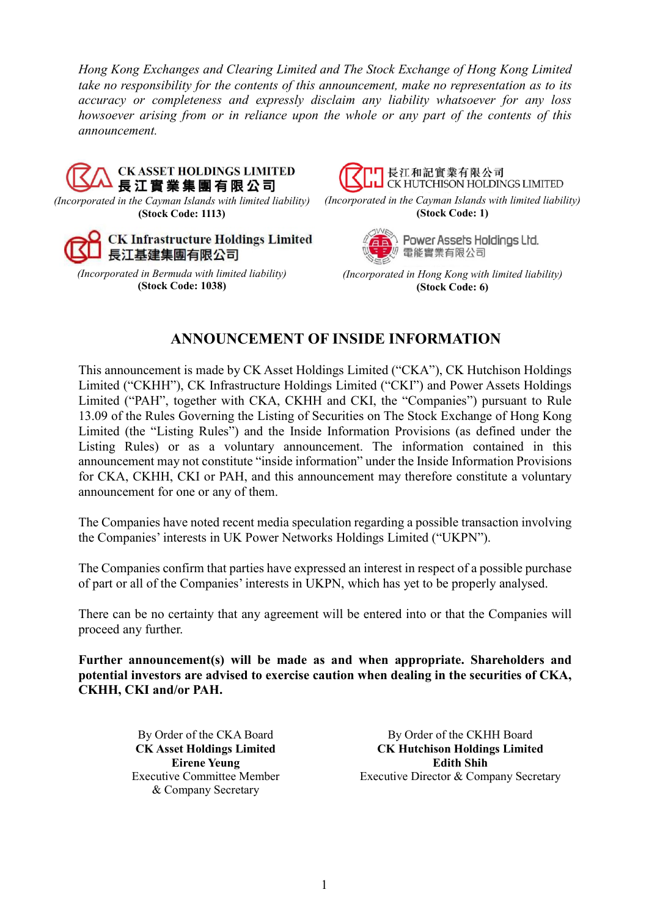*Hong Kong Exchanges and Clearing Limited and The Stock Exchange of Hong Kong Limited take no responsibility for the contents of this announcement, make no representation as to its accuracy or completeness and expressly disclaim any liability whatsoever for any loss howsoever arising from or in reliance upon the whole or any part of the contents of this announcement.*



*(Incorporated in the Cayman Islands with limited liability)* **(Stock Code: 1113)**



*(Incorporated in Bermuda with limited liability)* **(Stock Code: 1038)**



*(Incorporated in the Cayman Islands with limited liability)* **(Stock Code: 1)**



Power Assets Holdings Ltd. 電能實業有限公司

*(Incorporated in Hong Kong with limited liability)* **(Stock Code: 6)**

## **ANNOUNCEMENT OF INSIDE INFORMATION**

This announcement is made by CK Asset Holdings Limited ("CKA"), CK Hutchison Holdings Limited ("CKHH"), CK Infrastructure Holdings Limited ("CKI") and Power Assets Holdings Limited ("PAH", together with CKA, CKHH and CKI, the "Companies") pursuant to Rule 13.09 of the Rules Governing the Listing of Securities on The Stock Exchange of Hong Kong Limited (the "Listing Rules") and the Inside Information Provisions (as defined under the Listing Rules) or as a voluntary announcement. The information contained in this announcement may not constitute "inside information" under the Inside Information Provisions for CKA, CKHH, CKI or PAH, and this announcement may therefore constitute a voluntary announcement for one or any of them.

The Companies have noted recent media speculation regarding a possible transaction involving the Companies' interests in UK Power Networks Holdings Limited ("UKPN").

The Companies confirm that parties have expressed an interest in respect of a possible purchase of part or all of the Companies' interests in UKPN, which has yet to be properly analysed.

There can be no certainty that any agreement will be entered into or that the Companies will proceed any further.

**Further announcement(s) will be made as and when appropriate. Shareholders and potential investors are advised to exercise caution when dealing in the securities of CKA, CKHH, CKI and/or PAH.**

> By Order of the CKA Board **CK Asset Holdings Limited Eirene Yeung**  Executive Committee Member & Company Secretary

By Order of the CKHH Board **CK Hutchison Holdings Limited Edith Shih**  Executive Director & Company Secretary